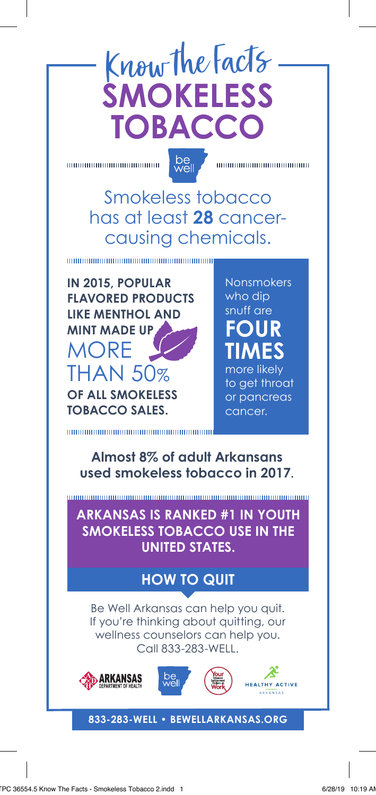## Know the Facts **SMOKELESS TOBACCO**

00000000000000000000000

be<br>well

100000000000000000000000

Smokeless tobacco has at least **28** cancercausing chemicals.

**IN 2015, POPULAR FLAVORED PRODUCTS LIKE MENTHOL AND MINT MADE UP** MORE THAN 50% **OF ALL SMOKELESS TOBACCO SALES.**

100000000000000000000000000000

**Nonsmokers** who dip snuff are **FOUR TIMES** 

more likely to get throat or pancreas cancer.

**Almost 8% of adult Arkansans used smokeless tobacco in 2017.**

**ARKANSAS IS RANKED #1 IN YOUTH SMOKELESS TOBACCO USE IN THE UNITED STATES.** 

#### **HOW TO QUIT**

Be Well Arkansas can help you quit. If you're thinking about quitting, our wellness counselors can help you. Call 833-283-WELL.







**833-283-WELL • BEWELLARKANSAS.ORG**